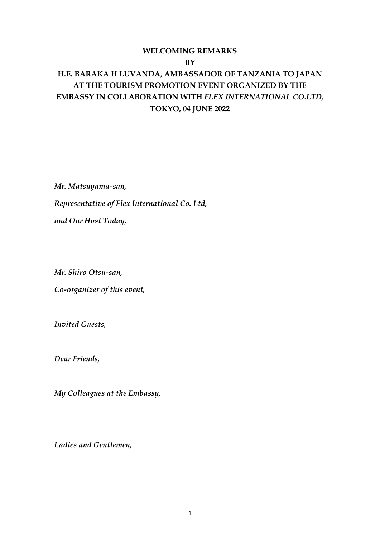## **WELCOMING REMARKS BY**

# **H.E. BARAKA H LUVANDA, AMBASSADOR OF TANZANIA TO JAPAN AT THE TOURISM PROMOTION EVENT ORGANIZED BY THE EMBASSY IN COLLABORATION WITH** *FLEX INTERNATIONAL CO.LTD,* **TOKYO, 04 JUNE 2022**

*Mr. Matsuyama-san, Representative of Flex International Co. Ltd, and Our Host Today,*

*Mr. Shiro Otsu-san,* 

*Co-organizer of this event,*

*Invited Guests,*

*Dear Friends,*

*My Colleagues at the Embassy,*

*Ladies and Gentlemen,*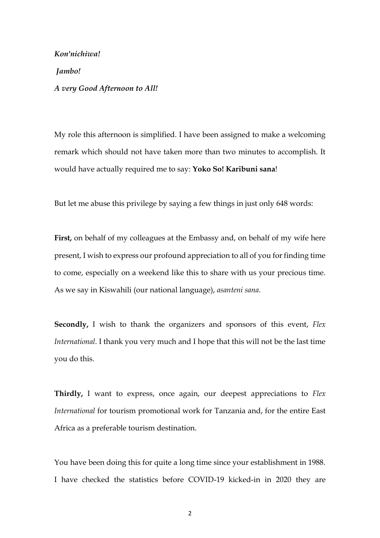*Kon'nichiwa! Jambo! A very Good Afternoon to All!*

My role this afternoon is simplified. I have been assigned to make a welcoming remark which should not have taken more than two minutes to accomplish. It would have actually required me to say: **Yoko So! Karibuni sana**!

But let me abuse this privilege by saying a few things in just only 648 words:

**First,** on behalf of my colleagues at the Embassy and, on behalf of my wife here present, I wish to express our profound appreciation to all of you for finding time to come, especially on a weekend like this to share with us your precious time. As we say in Kiswahili (our national language), *asanteni sana*.

**Secondly,** I wish to thank the organizers and sponsors of this event, *Flex International*. I thank you very much and I hope that this will not be the last time you do this.

**Thirdly,** I want to express, once again, our deepest appreciations to *Flex International* for tourism promotional work for Tanzania and, for the entire East Africa as a preferable tourism destination.

You have been doing this for quite a long time since your establishment in 1988. I have checked the statistics before COVID-19 kicked-in in 2020 they are

2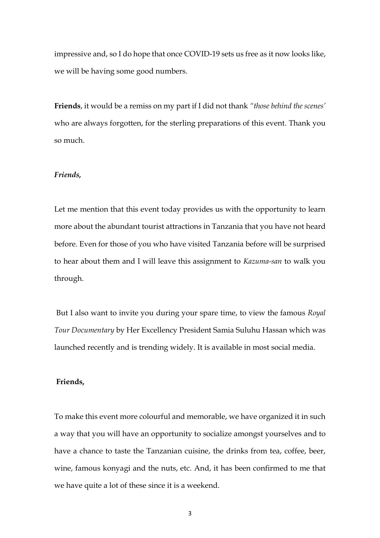impressive and, so I do hope that once COVID-19 sets us free as it now looks like, we will be having some good numbers.

**Friends**, it would be a remiss on my part if I did not thank *"those behind the scenes'* who are always forgotten, for the sterling preparations of this event. Thank you so much.

#### *Friends,*

Let me mention that this event today provides us with the opportunity to learn more about the abundant tourist attractions in Tanzania that you have not heard before. Even for those of you who have visited Tanzania before will be surprised to hear about them and I will leave this assignment to *Kazuma-san* to walk you through.

But I also want to invite you during your spare time, to view the famous *Royal Tour Documentary* by Her Excellency President Samia Suluhu Hassan which was launched recently and is trending widely. It is available in most social media.

#### **Friends,**

To make this event more colourful and memorable, we have organized it in such a way that you will have an opportunity to socialize amongst yourselves and to have a chance to taste the Tanzanian cuisine, the drinks from tea, coffee, beer, wine, famous konyagi and the nuts, etc. And, it has been confirmed to me that we have quite a lot of these since it is a weekend.